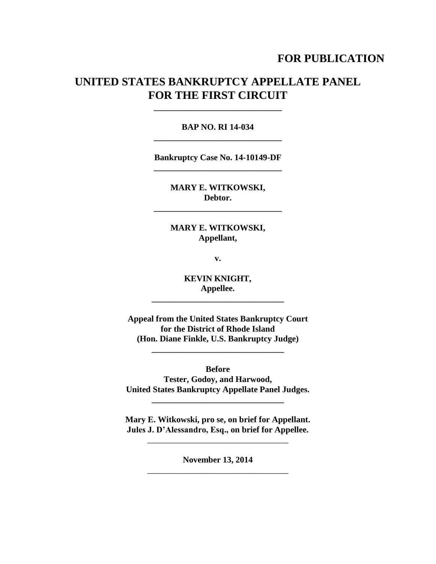# **FOR PUBLICATION**

# **UNITED STATES BANKRUPTCY APPELLATE PANEL FOR THE FIRST CIRCUIT**

**\_\_\_\_\_\_\_\_\_\_\_\_\_\_\_\_\_\_\_\_\_\_\_\_\_\_\_\_\_\_**

## **BAP NO. RI 14-034 \_\_\_\_\_\_\_\_\_\_\_\_\_\_\_\_\_\_\_\_\_\_\_\_\_\_\_\_\_\_**

**Bankruptcy Case No. 14-10149-DF \_\_\_\_\_\_\_\_\_\_\_\_\_\_\_\_\_\_\_\_\_\_\_\_\_\_\_\_\_\_**

> **MARY E. WITKOWSKI, Debtor.**

**\_\_\_\_\_\_\_\_\_\_\_\_\_\_\_\_\_\_\_\_\_\_\_\_\_\_\_\_\_\_**

## **MARY E. WITKOWSKI, Appellant,**

**v.**

**KEVIN KNIGHT, Appellee.**

**\_\_\_\_\_\_\_\_\_\_\_\_\_\_\_\_\_\_\_\_\_\_\_\_\_\_\_\_\_\_\_**

**Appeal from the United States Bankruptcy Court for the District of Rhode Island (Hon. Diane Finkle, U.S. Bankruptcy Judge)**

**\_\_\_\_\_\_\_\_\_\_\_\_\_\_\_\_\_\_\_\_\_\_\_\_\_\_\_\_\_\_\_**

**Before Tester, Godoy, and Harwood, United States Bankruptcy Appellate Panel Judges.**

**\_\_\_\_\_\_\_\_\_\_\_\_\_\_\_\_\_\_\_\_\_\_\_\_\_\_\_\_\_\_\_**

**Mary E. Witkowski, pro se, on brief for Appellant. Jules J. D'Alessandro, Esq., on brief for Appellee.**

\_\_\_\_\_\_\_\_\_\_\_\_\_\_\_\_\_\_\_\_\_\_\_\_\_\_\_\_\_\_\_\_\_

**November 13, 2014** \_\_\_\_\_\_\_\_\_\_\_\_\_\_\_\_\_\_\_\_\_\_\_\_\_\_\_\_\_\_\_\_\_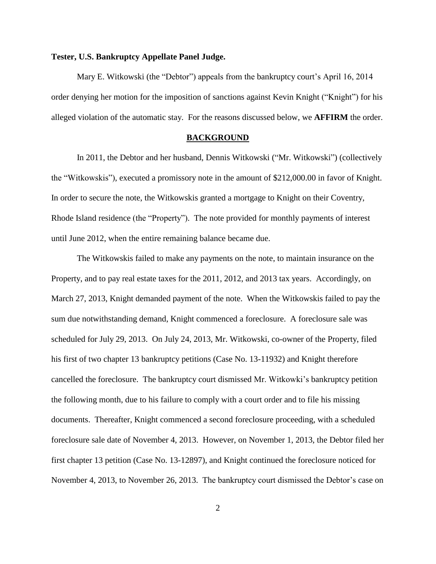## **Tester, U.S. Bankruptcy Appellate Panel Judge.**

Mary E. Witkowski (the "Debtor") appeals from the bankruptcy court's April 16, 2014 order denying her motion for the imposition of sanctions against Kevin Knight ("Knight") for his alleged violation of the automatic stay. For the reasons discussed below, we **AFFIRM** the order.

#### **BACKGROUND**

In 2011, the Debtor and her husband, Dennis Witkowski ("Mr. Witkowski") (collectively the "Witkowskis"), executed a promissory note in the amount of \$212,000.00 in favor of Knight. In order to secure the note, the Witkowskis granted a mortgage to Knight on their Coventry, Rhode Island residence (the "Property"). The note provided for monthly payments of interest until June 2012, when the entire remaining balance became due.

The Witkowskis failed to make any payments on the note, to maintain insurance on the Property, and to pay real estate taxes for the 2011, 2012, and 2013 tax years. Accordingly, on March 27, 2013, Knight demanded payment of the note. When the Witkowskis failed to pay the sum due notwithstanding demand, Knight commenced a foreclosure. A foreclosure sale was scheduled for July 29, 2013. On July 24, 2013, Mr. Witkowski, co-owner of the Property, filed his first of two chapter 13 bankruptcy petitions (Case No. 13-11932) and Knight therefore cancelled the foreclosure. The bankruptcy court dismissed Mr. Witkowki's bankruptcy petition the following month, due to his failure to comply with a court order and to file his missing documents. Thereafter, Knight commenced a second foreclosure proceeding, with a scheduled foreclosure sale date of November 4, 2013. However, on November 1, 2013, the Debtor filed her first chapter 13 petition (Case No. 13-12897), and Knight continued the foreclosure noticed for November 4, 2013, to November 26, 2013. The bankruptcy court dismissed the Debtor's case on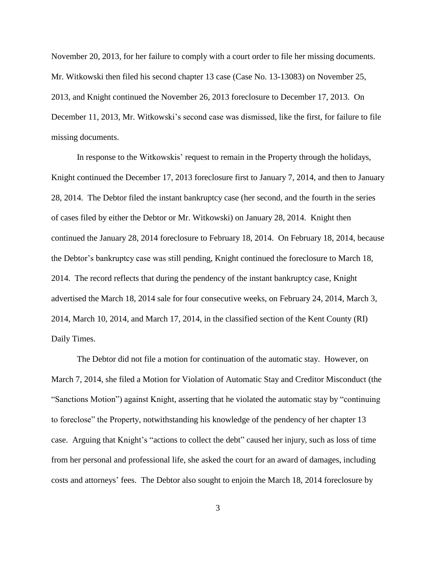November 20, 2013, for her failure to comply with a court order to file her missing documents. Mr. Witkowski then filed his second chapter 13 case (Case No. 13-13083) on November 25, 2013, and Knight continued the November 26, 2013 foreclosure to December 17, 2013. On December 11, 2013, Mr. Witkowski's second case was dismissed, like the first, for failure to file missing documents.

In response to the Witkowskis' request to remain in the Property through the holidays, Knight continued the December 17, 2013 foreclosure first to January 7, 2014, and then to January 28, 2014. The Debtor filed the instant bankruptcy case (her second, and the fourth in the series of cases filed by either the Debtor or Mr. Witkowski) on January 28, 2014. Knight then continued the January 28, 2014 foreclosure to February 18, 2014. On February 18, 2014, because the Debtor's bankruptcy case was still pending, Knight continued the foreclosure to March 18, 2014. The record reflects that during the pendency of the instant bankruptcy case, Knight advertised the March 18, 2014 sale for four consecutive weeks, on February 24, 2014, March 3, 2014, March 10, 2014, and March 17, 2014, in the classified section of the Kent County (RI) Daily Times.

The Debtor did not file a motion for continuation of the automatic stay. However, on March 7, 2014, she filed a Motion for Violation of Automatic Stay and Creditor Misconduct (the "Sanctions Motion") against Knight, asserting that he violated the automatic stay by "continuing to foreclose" the Property, notwithstanding his knowledge of the pendency of her chapter 13 case. Arguing that Knight's "actions to collect the debt" caused her injury, such as loss of time from her personal and professional life, she asked the court for an award of damages, including costs and attorneys' fees. The Debtor also sought to enjoin the March 18, 2014 foreclosure by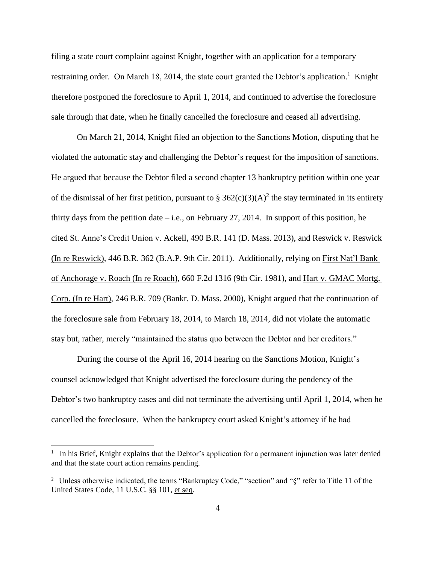filing a state court complaint against Knight, together with an application for a temporary restraining order. On March 18, 2014, the state court granted the Debtor's application.<sup>1</sup> Knight therefore postponed the foreclosure to April 1, 2014, and continued to advertise the foreclosure sale through that date, when he finally cancelled the foreclosure and ceased all advertising.

On March 21, 2014, Knight filed an objection to the Sanctions Motion, disputing that he violated the automatic stay and challenging the Debtor's request for the imposition of sanctions. He argued that because the Debtor filed a second chapter 13 bankruptcy petition within one year of the dismissal of her first petition, pursuant to §  $362(c)(3)(A)^2$  the stay terminated in its entirety thirty days from the petition date  $-$  i.e., on February 27, 2014. In support of this position, he cited St. Anne's Credit Union v. Ackell, 490 B.R. 141 (D. Mass. 2013), and Reswick v. Reswick (In re Reswick), 446 B.R. 362 (B.A.P. 9th Cir. 2011). Additionally, relying on First Nat'l Bank of Anchorage v. Roach (In re Roach), 660 F.2d 1316 (9th Cir. 1981), and Hart v. GMAC Mortg. Corp. (In re Hart), 246 B.R. 709 (Bankr. D. Mass. 2000), Knight argued that the continuation of the foreclosure sale from February 18, 2014, to March 18, 2014, did not violate the automatic stay but, rather, merely "maintained the status quo between the Debtor and her creditors."

During the course of the April 16, 2014 hearing on the Sanctions Motion, Knight's counsel acknowledged that Knight advertised the foreclosure during the pendency of the Debtor's two bankruptcy cases and did not terminate the advertising until April 1, 2014, when he cancelled the foreclosure. When the bankruptcy court asked Knight's attorney if he had

 $\overline{\phantom{a}}$ 

<sup>&</sup>lt;sup>1</sup> In his Brief, Knight explains that the Debtor's application for a permanent injunction was later denied and that the state court action remains pending.

<sup>&</sup>lt;sup>2</sup> Unless otherwise indicated, the terms "Bankruptcy Code," "section" and "§" refer to Title 11 of the United States Code, 11 U.S.C. §§ 101, et seq.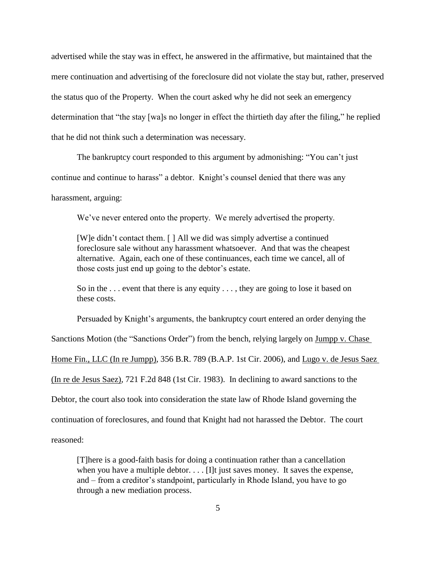advertised while the stay was in effect, he answered in the affirmative, but maintained that the mere continuation and advertising of the foreclosure did not violate the stay but, rather, preserved the status quo of the Property. When the court asked why he did not seek an emergency determination that "the stay [wa]s no longer in effect the thirtieth day after the filing," he replied that he did not think such a determination was necessary.

The bankruptcy court responded to this argument by admonishing: "You can't just continue and continue to harass" a debtor. Knight's counsel denied that there was any harassment, arguing:

We've never entered onto the property. We merely advertised the property.

[W]e didn't contact them. [ ] All we did was simply advertise a continued foreclosure sale without any harassment whatsoever. And that was the cheapest alternative. Again, each one of these continuances, each time we cancel, all of those costs just end up going to the debtor's estate.

So in the ... event that there is any equity ..., they are going to lose it based on these costs.

Persuaded by Knight's arguments, the bankruptcy court entered an order denying the

Sanctions Motion (the "Sanctions Order") from the bench, relying largely on Jumpp v. Chase

Home Fin., LLC (In re Jumpp), 356 B.R. 789 (B.A.P. 1st Cir. 2006), and Lugo v. de Jesus Saez

(In re de Jesus Saez), 721 F.2d 848 (1st Cir. 1983). In declining to award sanctions to the

Debtor, the court also took into consideration the state law of Rhode Island governing the

continuation of foreclosures, and found that Knight had not harassed the Debtor. The court

reasoned:

[T]here is a good-faith basis for doing a continuation rather than a cancellation when you have a multiple debtor.  $\ldots$  [I]t just saves money. It saves the expense, and – from a creditor's standpoint, particularly in Rhode Island, you have to go through a new mediation process.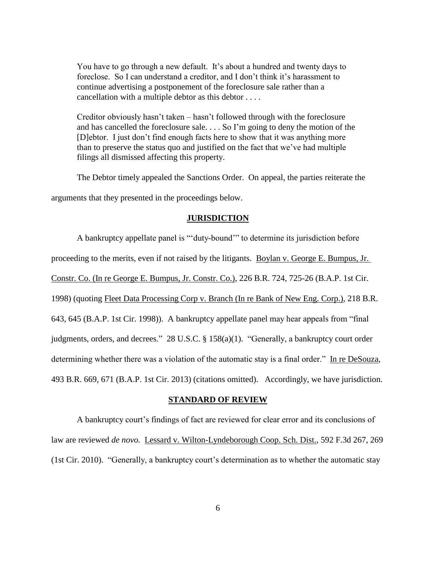You have to go through a new default. It's about a hundred and twenty days to foreclose. So I can understand a creditor, and I don't think it's harassment to continue advertising a postponement of the foreclosure sale rather than a cancellation with a multiple debtor as this debtor . . . .

Creditor obviously hasn't taken – hasn't followed through with the foreclosure and has cancelled the foreclosure sale. . . . So I'm going to deny the motion of the [D]ebtor. I just don't find enough facts here to show that it was anything more than to preserve the status quo and justified on the fact that we've had multiple filings all dismissed affecting this property.

The Debtor timely appealed the Sanctions Order. On appeal, the parties reiterate the arguments that they presented in the proceedings below.

#### **JURISDICTION**

A bankruptcy appellate panel is "'duty-bound'" to determine its jurisdiction before proceeding to the merits, even if not raised by the litigants. Boylan v. George E. Bumpus, Jr. Constr. Co. (In re George E. Bumpus, Jr. Constr. Co.), 226 B.R. 724, 725-26 (B.A.P. 1st Cir. 1998) (quoting Fleet Data Processing Corp v. Branch (In re Bank of New Eng. Corp.), 218 B.R. 643, 645 (B.A.P. 1st Cir. 1998)). A bankruptcy appellate panel may hear appeals from "final judgments, orders, and decrees." 28 U.S.C. § 158(a)(1). "Generally, a bankruptcy court order determining whether there was a violation of the automatic stay is a final order." In re DeSouza, 493 B.R. 669, 671 (B.A.P. 1st Cir. 2013) (citations omitted). Accordingly, we have jurisdiction.

## **STANDARD OF REVIEW**

A bankruptcy court's findings of fact are reviewed for clear error and its conclusions of law are reviewed *de novo.* Lessard v. Wilton-Lyndeborough Coop. Sch. Dist., 592 F.3d 267, 269 (1st Cir. 2010). "Generally, a bankruptcy court's determination as to whether the automatic stay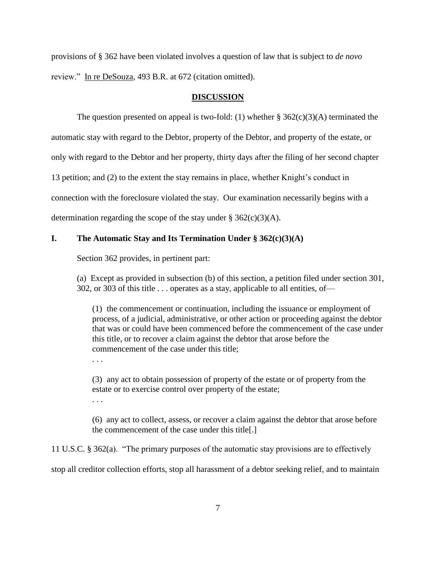provisions of § 362 have been violated involves a question of law that is subject to *de novo* review." In re DeSouza, 493 B.R. at 672 (citation omitted).

## **DISCUSSION**

The question presented on appeal is two-fold: (1) whether  $\S 362(c)(3)(A)$  terminated the

automatic stay with regard to the Debtor, property of the Debtor, and property of the estate, or

only with regard to the Debtor and her property, thirty days after the filing of her second chapter

13 petition; and (2) to the extent the stay remains in place, whether Knight's conduct in

connection with the foreclosure violated the stay. Our examination necessarily begins with a

determination regarding the scope of the stay under  $\S 362(c)(3)(A)$ .

## **I. The Automatic Stay and Its Termination Under § 362(c)(3)(A)**

Section 362 provides, in pertinent part:

(a) Except as provided in subsection (b) of this section, a petition filed under section 301, 302, or 303 of this title . . . operates as a stay, applicable to all entities, of—

(1) the commencement or continuation, including the issuance or employment of process, of a judicial, administrative, or other action or proceeding against the debtor that was or could have been commenced before the commencement of the case under this title, or to recover a claim against the debtor that arose before the commencement of the case under this title;

. . .

(3) any act to obtain possession of property of the estate or of property from the estate or to exercise control over property of the estate;

. . .

(6) any act to collect, assess, or recover a claim against the debtor that arose before the commencement of the case under this title[.]

11 U.S.C. § 362(a). "The primary purposes of the automatic stay provisions are to effectively

stop all creditor collection efforts, stop all harassment of a debtor seeking relief, and to maintain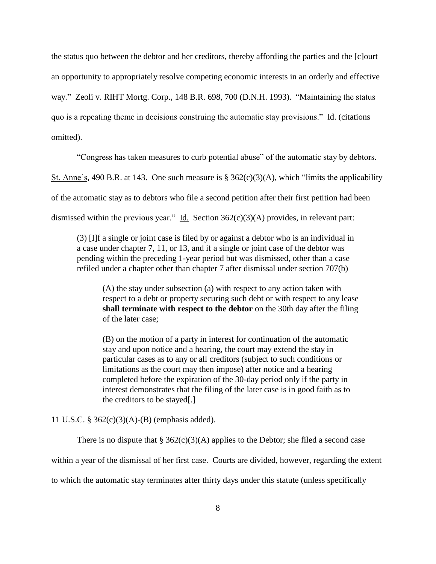the status quo between the debtor and her creditors, thereby affording the parties and the [c]ourt an opportunity to appropriately resolve competing economic interests in an orderly and effective way." Zeoli v. RIHT Mortg. Corp., 148 B.R. 698, 700 (D.N.H. 1993). "Maintaining the status quo is a repeating theme in decisions construing the automatic stay provisions." Id. (citations omitted).

"Congress has taken measures to curb potential abuse" of the automatic stay by debtors.

St. Anne's, 490 B.R. at 143. One such measure is § 362(c)(3)(A), which "limits the applicability

of the automatic stay as to debtors who file a second petition after their first petition had been

dismissed within the previous year." Id. Section 362(c)(3)(A) provides, in relevant part:

(3) [I]f a single or joint case is filed by or against a debtor who is an individual in a case under chapter 7, 11, or 13, and if a single or joint case of the debtor was pending within the preceding 1-year period but was dismissed, other than a case refiled under a chapter other than chapter 7 after dismissal under section 707(b)—

(A) the stay under subsection (a) with respect to any action taken with respect to a debt or property securing such debt or with respect to any lease **shall terminate with respect to the debtor** on the 30th day after the filing of the later case;

(B) on the motion of a party in interest for continuation of the automatic stay and upon notice and a hearing, the court may extend the stay in particular cases as to any or all creditors (subject to such conditions or limitations as the court may then impose) after notice and a hearing completed before the expiration of the 30-day period only if the party in interest demonstrates that the filing of the later case is in good faith as to the creditors to be stayed[.]

11 U.S.C. § 362(c)(3)(A)-(B) (emphasis added).

There is no dispute that  $\S 362(c)(3)(A)$  applies to the Debtor; she filed a second case

within a year of the dismissal of her first case. Courts are divided, however, regarding the extent

to which the automatic stay terminates after thirty days under this statute (unless specifically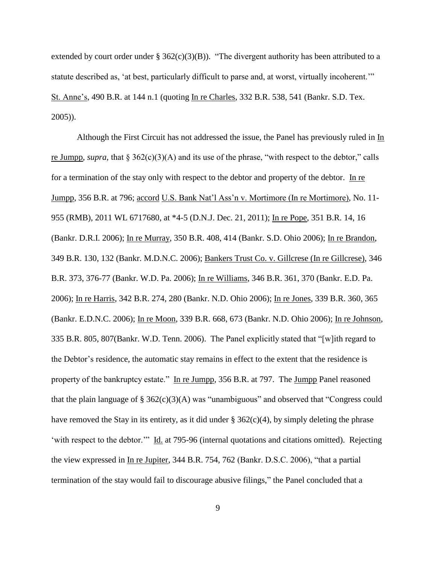extended by court order under  $\S$  362(c)(3)(B)). "The divergent authority has been attributed to a statute described as, 'at best, particularly difficult to parse and, at worst, virtually incoherent.'" St. Anne's, 490 B.R. at 144 n.1 (quoting In re Charles, 332 B.R. 538, 541 (Bankr. S.D. Tex. 2005)).

Although the First Circuit has not addressed the issue, the Panel has previously ruled in In re Jumpp, *supra,* that § 362(c)(3)(A) and its use of the phrase, "with respect to the debtor," calls for a termination of the stay only with respect to the debtor and property of the debtor. In re Jumpp, 356 B.R. at 796; accord U.S. Bank Nat'l Ass'n v. Mortimore (In re Mortimore), No. 11- 955 (RMB), 2011 WL 6717680, at \*4-5 (D.N.J. Dec. 21, 2011); In re Pope, 351 B.R. 14, 16 (Bankr. D.R.I. 2006); In re Murray, 350 B.R. 408, 414 (Bankr. S.D. Ohio 2006); In re Brandon, 349 B.R. 130, 132 (Bankr. M.D.N.C. 2006); Bankers Trust Co. v. Gillcrese (In re Gillcrese), 346 B.R. 373, 376-77 (Bankr. W.D. Pa. 2006); In re Williams, 346 B.R. 361, 370 (Bankr. E.D. Pa. 2006); In re Harris, 342 B.R. 274, 280 (Bankr. N.D. Ohio 2006); In re Jones, 339 B.R. 360, 365 (Bankr. E.D.N.C. 2006); In re Moon, 339 B.R. 668, 673 (Bankr. N.D. Ohio 2006); In re Johnson, 335 B.R. 805, 807(Bankr. W.D. Tenn. 2006). The Panel explicitly stated that "[w]ith regard to the Debtor's residence, the automatic stay remains in effect to the extent that the residence is property of the bankruptcy estate." In re Jumpp, 356 B.R. at 797. The Jumpp Panel reasoned that the plain language of  $\S 362(c)(3)(A)$  was "unambiguous" and observed that "Congress could have removed the Stay in its entirety, as it did under  $\S 362(c)(4)$ , by simply deleting the phrase 'with respect to the debtor.'" Id. at 795-96 (internal quotations and citations omitted). Rejecting the view expressed in In re Jupiter, 344 B.R. 754, 762 (Bankr. D.S.C. 2006), "that a partial termination of the stay would fail to discourage abusive filings," the Panel concluded that a

9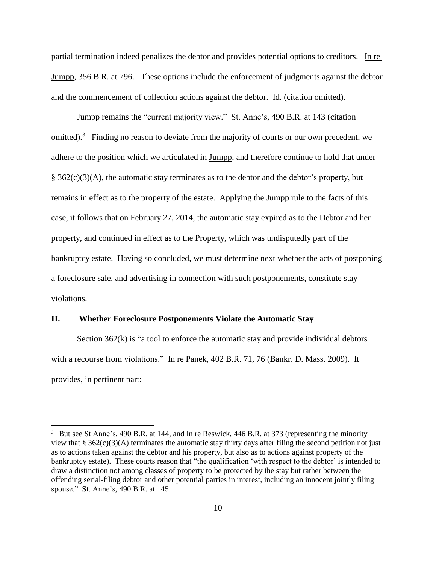partial termination indeed penalizes the debtor and provides potential options to creditors. In re Jumpp, 356 B.R. at 796. These options include the enforcement of judgments against the debtor and the commencement of collection actions against the debtor. Id. (citation omitted).

Jumpp remains the "current majority view." St. Anne's, 490 B.R. at 143 (citation omitted).<sup>3</sup> Finding no reason to deviate from the majority of courts or our own precedent, we adhere to the position which we articulated in Jumpp, and therefore continue to hold that under  $\S$  362(c)(3)(A), the automatic stay terminates as to the debtor and the debtor's property, but remains in effect as to the property of the estate. Applying the Jumpp rule to the facts of this case, it follows that on February 27, 2014, the automatic stay expired as to the Debtor and her property, and continued in effect as to the Property, which was undisputedly part of the bankruptcy estate. Having so concluded, we must determine next whether the acts of postponing a foreclosure sale, and advertising in connection with such postponements, constitute stay violations.

## **II. Whether Foreclosure Postponements Violate the Automatic Stay**

 $\overline{a}$ 

Section 362(k) is "a tool to enforce the automatic stay and provide individual debtors with a recourse from violations." In re Panek, 402 B.R. 71, 76 (Bankr. D. Mass. 2009). It provides, in pertinent part:

<sup>&</sup>lt;sup>3</sup> But see St Anne's, 490 B.R. at 144, and In re Reswick, 446 B.R. at 373 (representing the minority view that § 362(c)(3)(A) terminates the automatic stay thirty days after filing the second petition not just as to actions taken against the debtor and his property, but also as to actions against property of the bankruptcy estate). These courts reason that "the qualification 'with respect to the debtor' is intended to draw a distinction not among classes of property to be protected by the stay but rather between the offending serial-filing debtor and other potential parties in interest, including an innocent jointly filing spouse." St. Anne's, 490 B.R. at 145.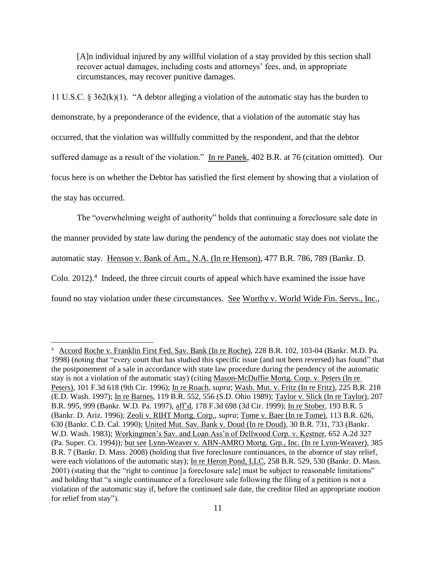[A]n individual injured by any willful violation of a stay provided by this section shall recover actual damages, including costs and attorneys' fees, and, in appropriate circumstances, may recover punitive damages.

11 U.S.C. § 362(k)(1). "A debtor alleging a violation of the automatic stay has the burden to demonstrate, by a preponderance of the evidence, that a violation of the automatic stay has occurred, that the violation was willfully committed by the respondent, and that the debtor suffered damage as a result of the violation." In re Panek, 402 B.R. at 76 (citation omitted). Our focus here is on whether the Debtor has satisfied the first element by showing that a violation of the stay has occurred.

The "overwhelming weight of authority" holds that continuing a foreclosure sale date in the manner provided by state law during the pendency of the automatic stay does not violate the automatic stay. Henson v. Bank of Am., N.A. (In re Henson), 477 B.R. 786, 789 (Bankr. D. Colo.  $2012$ ).<sup>4</sup> Indeed, the three circuit courts of appeal which have examined the issue have found no stay violation under these circumstances. See Worthy v. World Wide Fin. Servs., Inc.,

 $\overline{a}$ 

<sup>&</sup>lt;sup>4</sup> Accord Roche v. Franklin First Fed. Sav. Bank (In re Roche), 228 B.R. 102, 103-04 (Bankr. M.D. Pa. 1998) (noting that "every court that has studied this specific issue (and not been reversed) has found" that the postponement of a sale in accordance with state law procedure during the pendency of the automatic stay is not a violation of the automatic stay) (citing Mason-McDuffie Mortg. Corp. v. Peters (In re Peters), 101 F.3d 618 (9th Cir. 1996); In re Roach, *supra*; Wash. Mut. v. Fritz (In re Fritz), 225 B.R. 218 (E.D. Wash. 1997); In re Barnes, 119 B.R. 552, 556 (S.D. Ohio 1989); Taylor v. Slick (In re Taylor), 207 B.R. 995, 999 (Bankr. W.D. Pa. 1997), aff'd, 178 F.3d 698 (3d Cir. 1999); In re Stober, 193 B.R. 5 (Bankr. D. Ariz. 1996); Zeoli v. RIHT Mortg. Corp., *supra*; Tome v. Baer (In re Tome), 113 B.R. 626, 630 (Bankr. C.D. Cal. 1990); United Mut. Sav. Bank v. Doud (In re Doud), 30 B.R. 731, 733 (Bankr. W.D. Wash. 1983); Workingmen's Sav. and Loan Ass'n of Dellwood Corp. v. Kestner, 652 A.2d 327 (Pa. Super. Ct. 1994)); but see Lynn-Weaver v. ABN-AMRO Mortg. Grp., Inc. (In re Lynn-Weaver), 385 B.R. 7 (Bankr. D. Mass. 2008) (holding that five foreclosure continuances, in the absence of stay relief, were each violations of the automatic stay); In re Heron Pond, LLC, 258 B.R. 529, 530 (Bankr. D. Mass. 2001) (stating that the "right to continue [a foreclosure sale] must be subject to reasonable limitations" and holding that "a single continuance of a foreclosure sale following the filing of a petition is not a violation of the automatic stay if, before the continued sale date, the creditor filed an appropriate motion for relief from stay").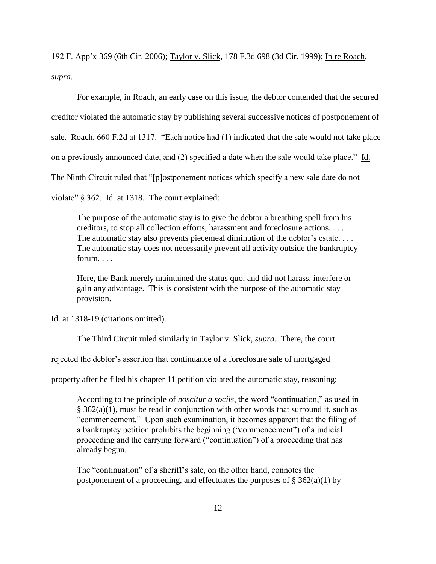192 F. App'x 369 (6th Cir. 2006); Taylor v. Slick, 178 F.3d 698 (3d Cir. 1999); In re Roach, *supra*.

For example, in Roach, an early case on this issue, the debtor contended that the secured creditor violated the automatic stay by publishing several successive notices of postponement of sale. Roach, 660 F.2d at 1317. "Each notice had (1) indicated that the sale would not take place on a previously announced date, and (2) specified a date when the sale would take place." Id. The Ninth Circuit ruled that "[p]ostponement notices which specify a new sale date do not violate" § 362. Id. at 1318. The court explained:

The purpose of the automatic stay is to give the debtor a breathing spell from his creditors, to stop all collection efforts, harassment and foreclosure actions. . . . The automatic stay also prevents piecemeal diminution of the debtor's estate. . . . The automatic stay does not necessarily prevent all activity outside the bankruptcy forum. . . .

Here, the Bank merely maintained the status quo, and did not harass, interfere or gain any advantage. This is consistent with the purpose of the automatic stay provision.

Id. at 1318-19 (citations omitted).

The Third Circuit ruled similarly in Taylor v. Slick, *supra*. There, the court

rejected the debtor's assertion that continuance of a foreclosure sale of mortgaged

property after he filed his chapter 11 petition violated the automatic stay, reasoning:

According to the principle of *noscitur a sociis*, the word "continuation," as used in  $§$  362(a)(1), must be read in conjunction with other words that surround it, such as "commencement." Upon such examination, it becomes apparent that the filing of a bankruptcy petition prohibits the beginning ("commencement") of a judicial proceeding and the carrying forward ("continuation") of a proceeding that has already begun.

The "continuation" of a sheriff's sale, on the other hand, connotes the postponement of a proceeding, and effectuates the purposes of  $\S 362(a)(1)$  by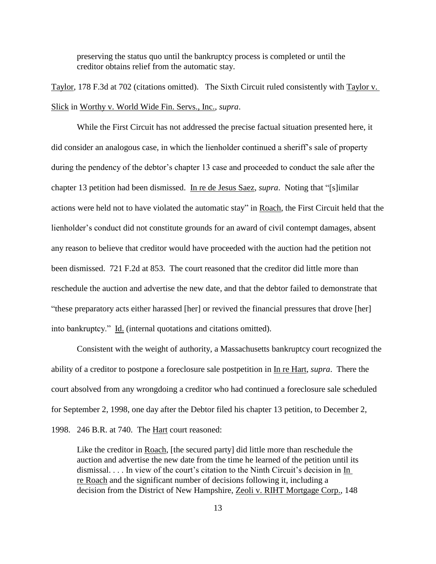preserving the status quo until the bankruptcy process is completed or until the creditor obtains relief from the automatic stay.

Taylor, 178 F.3d at 702 (citations omitted). The Sixth Circuit ruled consistently with Taylor v. Slick in Worthy v. World Wide Fin. Servs., Inc., *supra*.

While the First Circuit has not addressed the precise factual situation presented here, it did consider an analogous case, in which the lienholder continued a sheriff's sale of property during the pendency of the debtor's chapter 13 case and proceeded to conduct the sale after the chapter 13 petition had been dismissed. In re de Jesus Saez, *supra*. Noting that "[s]imilar actions were held not to have violated the automatic stay" in Roach, the First Circuit held that the lienholder's conduct did not constitute grounds for an award of civil contempt damages, absent any reason to believe that creditor would have proceeded with the auction had the petition not been dismissed. 721 F.2d at 853. The court reasoned that the creditor did little more than reschedule the auction and advertise the new date, and that the debtor failed to demonstrate that "these preparatory acts either harassed [her] or revived the financial pressures that drove [her] into bankruptcy." Id. (internal quotations and citations omitted).

Consistent with the weight of authority, a Massachusetts bankruptcy court recognized the ability of a creditor to postpone a foreclosure sale postpetition in In re Hart, *supra*. There the court absolved from any wrongdoing a creditor who had continued a foreclosure sale scheduled for September 2, 1998, one day after the Debtor filed his chapter 13 petition, to December 2,

1998. 246 B.R. at 740. The Hart court reasoned:

Like the creditor in Roach, [the secured party] did little more than reschedule the auction and advertise the new date from the time he learned of the petition until its dismissal. . . . In view of the court's citation to the Ninth Circuit's decision in In re Roach and the significant number of decisions following it, including a decision from the District of New Hampshire, Zeoli v. RIHT Mortgage Corp., 148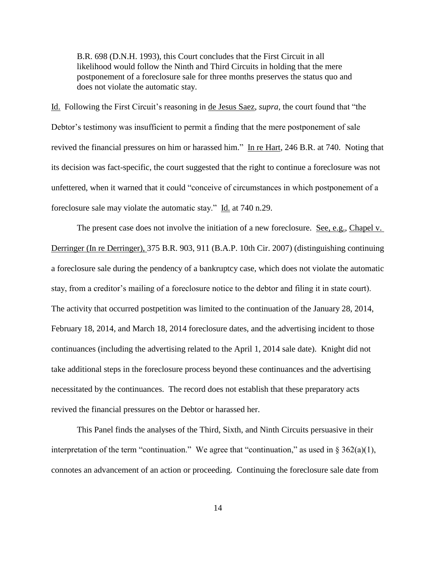B.R. 698 (D.N.H. 1993), this Court concludes that the First Circuit in all likelihood would follow the Ninth and Third Circuits in holding that the mere postponement of a foreclosure sale for three months preserves the status quo and does not violate the automatic stay.

Id. Following the First Circuit's reasoning in de Jesus Saez, *supra*, the court found that "the Debtor's testimony was insufficient to permit a finding that the mere postponement of sale revived the financial pressures on him or harassed him." In re Hart, 246 B.R. at 740. Noting that its decision was fact-specific, the court suggested that the right to continue a foreclosure was not unfettered, when it warned that it could "conceive of circumstances in which postponement of a foreclosure sale may violate the automatic stay." Id. at 740 n.29.

The present case does not involve the initiation of a new foreclosure. See, e.g., Chapel v. Derringer (In re Derringer), 375 B.R. 903, 911 (B.A.P. 10th Cir. 2007) (distinguishing continuing a foreclosure sale during the pendency of a bankruptcy case, which does not violate the automatic stay, from a creditor's mailing of a foreclosure notice to the debtor and filing it in state court). The activity that occurred postpetition was limited to the continuation of the January 28, 2014, February 18, 2014, and March 18, 2014 foreclosure dates, and the advertising incident to those continuances (including the advertising related to the April 1, 2014 sale date). Knight did not take additional steps in the foreclosure process beyond these continuances and the advertising necessitated by the continuances. The record does not establish that these preparatory acts revived the financial pressures on the Debtor or harassed her.

This Panel finds the analyses of the Third, Sixth, and Ninth Circuits persuasive in their interpretation of the term "continuation." We agree that "continuation," as used in  $\S 362(a)(1)$ , connotes an advancement of an action or proceeding. Continuing the foreclosure sale date from